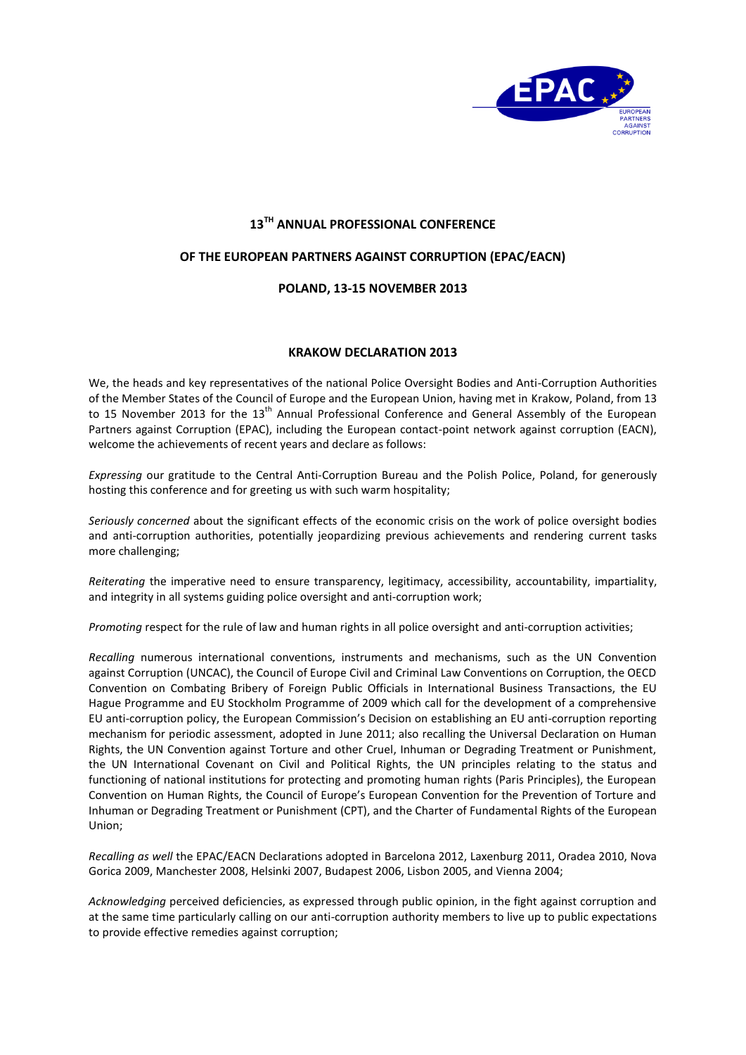

## **13TH ANNUAL PROFESSIONAL CONFERENCE**

## **OF THE EUROPEAN PARTNERS AGAINST CORRUPTION (EPAC/EACN)**

## **POLAND, 13-15 NOVEMBER 2013**

## **KRAKOW DECLARATION 2013**

We, the heads and key representatives of the national Police Oversight Bodies and Anti-Corruption Authorities of the Member States of the Council of Europe and the European Union, having met in Krakow, Poland, from 13 to 15 November 2013 for the 13<sup>th</sup> Annual Professional Conference and General Assembly of the European Partners against Corruption (EPAC), including the European contact-point network against corruption (EACN), welcome the achievements of recent years and declare as follows:

*Expressing* our gratitude to the Central Anti-Corruption Bureau and the Polish Police, Poland, for generously hosting this conference and for greeting us with such warm hospitality;

*Seriously concerned* about the significant effects of the economic crisis on the work of police oversight bodies and anti-corruption authorities, potentially jeopardizing previous achievements and rendering current tasks more challenging;

*Reiterating* the imperative need to ensure transparency, legitimacy, accessibility, accountability, impartiality, and integrity in all systems guiding police oversight and anti-corruption work;

*Promoting* respect for the rule of law and human rights in all police oversight and anti-corruption activities;

*Recalling* numerous international conventions, instruments and mechanisms, such as the UN Convention against Corruption (UNCAC), the Council of Europe Civil and Criminal Law Conventions on Corruption, the OECD Convention on Combating Bribery of Foreign Public Officials in International Business Transactions, the EU Hague Programme and EU Stockholm Programme of 2009 which call for the development of a comprehensive EU anti-corruption policy, the European Commission's Decision on establishing an EU anti-corruption reporting mechanism for periodic assessment, adopted in June 2011; also recalling the Universal Declaration on Human Rights, the UN Convention against Torture and other Cruel, Inhuman or Degrading Treatment or Punishment, the UN International Covenant on Civil and Political Rights, the UN principles relating to the status and functioning of national institutions for protecting and promoting human rights (Paris Principles), the European Convention on Human Rights, the Council of Europe's European Convention for the Prevention of Torture and Inhuman or Degrading Treatment or Punishment (CPT), and the Charter of Fundamental Rights of the European Union;

*Recalling as well* the EPAC/EACN Declarations adopted in Barcelona 2012, Laxenburg 2011, Oradea 2010, Nova Gorica 2009, Manchester 2008, Helsinki 2007, Budapest 2006, Lisbon 2005, and Vienna 2004;

*Acknowledging* perceived deficiencies, as expressed through public opinion, in the fight against corruption and at the same time particularly calling on our anti-corruption authority members to live up to public expectations to provide effective remedies against corruption;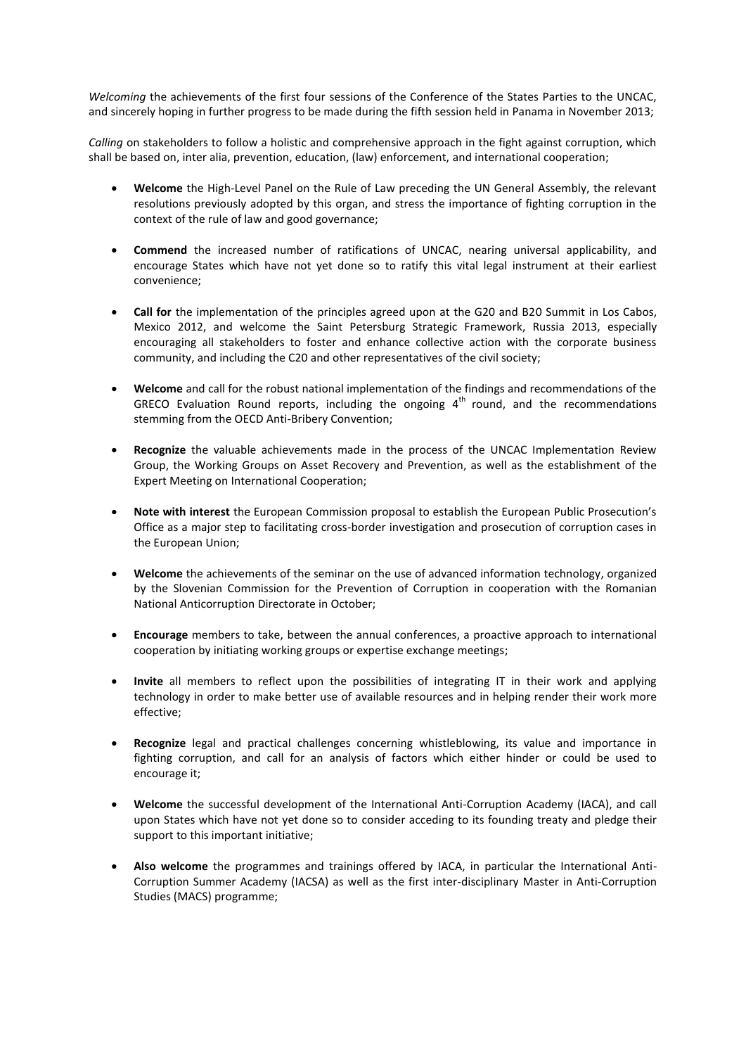*Welcoming* the achievements of the first four sessions of the Conference of the States Parties to the UNCAC, and sincerely hoping in further progress to be made during the fifth session held in Panama in November 2013;

*Calling* on stakeholders to follow a holistic and comprehensive approach in the fight against corruption, which shall be based on, inter alia, prevention, education, (law) enforcement, and international cooperation;

- **Welcome** the High-Level Panel on the Rule of Law preceding the UN General Assembly, the relevant resolutions previously adopted by this organ, and stress the importance of fighting corruption in the context of the rule of law and good governance;
- **Commend** the increased number of ratifications of UNCAC, nearing universal applicability, and encourage States which have not yet done so to ratify this vital legal instrument at their earliest convenience;
- **Call for** the implementation of the principles agreed upon at the G20 and B20 Summit in Los Cabos, Mexico 2012, and welcome the Saint Petersburg Strategic Framework, Russia 2013, especially encouraging all stakeholders to foster and enhance collective action with the corporate business community, and including the C20 and other representatives of the civil society;
- **Welcome** and call for the robust national implementation of the findings and recommendations of the GRECO Evaluation Round reports, including the ongoing  $4<sup>th</sup>$  round, and the recommendations stemming from the OECD Anti-Bribery Convention;
- **Recognize** the valuable achievements made in the process of the UNCAC Implementation Review Group, the Working Groups on Asset Recovery and Prevention, as well as the establishment of the Expert Meeting on International Cooperation;
- **Note with interest** the European Commission proposal to establish the European Public Prosecution's Office as a major step to facilitating cross-border investigation and prosecution of corruption cases in the European Union;
- **Welcome** the achievements of the seminar on the use of advanced information technology, organized by the Slovenian Commission for the Prevention of Corruption in cooperation with the Romanian National Anticorruption Directorate in October;
- **Encourage** members to take, between the annual conferences, a proactive approach to international cooperation by initiating working groups or expertise exchange meetings;
- **Invite** all members to reflect upon the possibilities of integrating IT in their work and applying technology in order to make better use of available resources and in helping render their work more effective;
- **Recognize** legal and practical challenges concerning whistleblowing, its value and importance in fighting corruption, and call for an analysis of factors which either hinder or could be used to encourage it;
- **Welcome** the successful development of the International Anti-Corruption Academy (IACA), and call upon States which have not yet done so to consider acceding to its founding treaty and pledge their support to this important initiative;
- **Also welcome** the programmes and trainings offered by IACA, in particular the International Anti-Corruption Summer Academy (IACSA) as well as the first inter-disciplinary Master in Anti-Corruption Studies (MACS) programme;